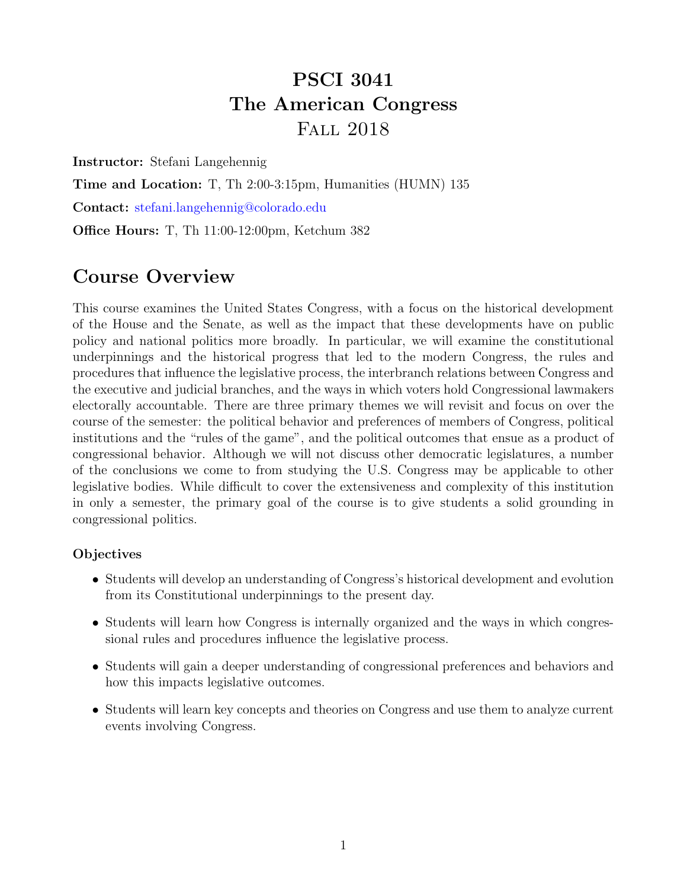# PSCI 3041 The American Congress Fall 2018

Instructor: Stefani Langehennig

Time and Location: T, Th 2:00-3:15pm, Humanities (HUMN) 135

Contact: [stefani.langehennig@colorado.edu](mailto:stefani.langehennig@colorado.edu)

Office Hours: T, Th 11:00-12:00pm, Ketchum 382

## Course Overview

This course examines the United States Congress, with a focus on the historical development of the House and the Senate, as well as the impact that these developments have on public policy and national politics more broadly. In particular, we will examine the constitutional underpinnings and the historical progress that led to the modern Congress, the rules and procedures that influence the legislative process, the interbranch relations between Congress and the executive and judicial branches, and the ways in which voters hold Congressional lawmakers electorally accountable. There are three primary themes we will revisit and focus on over the course of the semester: the political behavior and preferences of members of Congress, political institutions and the "rules of the game", and the political outcomes that ensue as a product of congressional behavior. Although we will not discuss other democratic legislatures, a number of the conclusions we come to from studying the U.S. Congress may be applicable to other legislative bodies. While difficult to cover the extensiveness and complexity of this institution in only a semester, the primary goal of the course is to give students a solid grounding in congressional politics.

### **Objectives**

- Students will develop an understanding of Congress's historical development and evolution from its Constitutional underpinnings to the present day.
- Students will learn how Congress is internally organized and the ways in which congressional rules and procedures influence the legislative process.
- Students will gain a deeper understanding of congressional preferences and behaviors and how this impacts legislative outcomes.
- Students will learn key concepts and theories on Congress and use them to analyze current events involving Congress.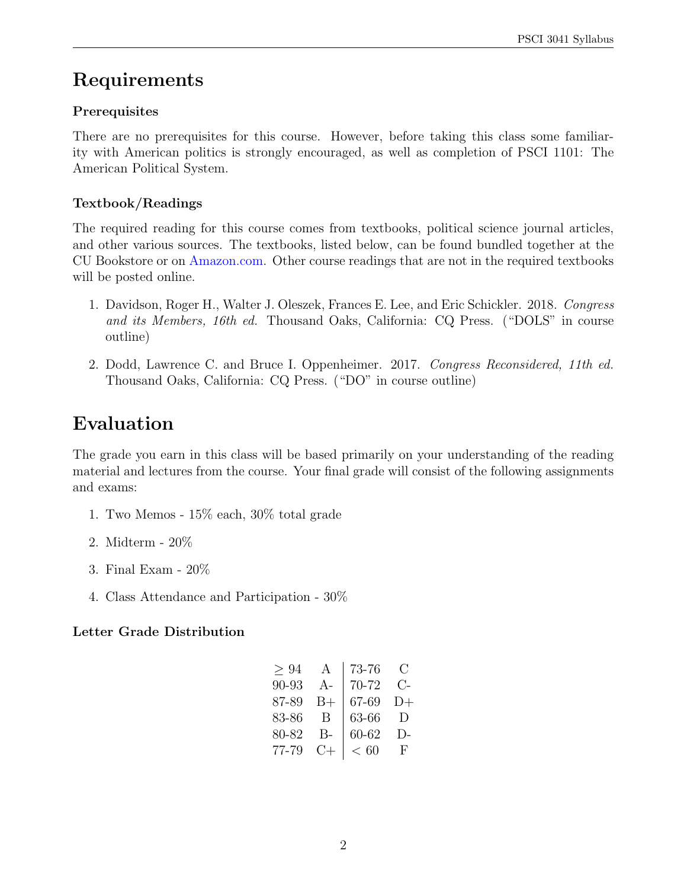# Requirements

## Prerequisites

There are no prerequisites for this course. However, before taking this class some familiarity with American politics is strongly encouraged, as well as completion of PSCI 1101: The American Political System.

## Textbook/Readings

The required reading for this course comes from textbooks, political science journal articles, and other various sources. The textbooks, listed below, can be found bundled together at the CU Bookstore or on [Amazon.com.](https://www.amazon.com/Congress-Its-Members-Reconsidered/dp/1506391370) Other course readings that are not in the required textbooks will be posted online.

- 1. Davidson, Roger H., Walter J. Oleszek, Frances E. Lee, and Eric Schickler. 2018. Congress and its Members, 16th ed. Thousand Oaks, California: CQ Press. ("DOLS" in course outline)
- 2. Dodd, Lawrence C. and Bruce I. Oppenheimer. 2017. Congress Reconsidered, 11th ed. Thousand Oaks, California: CQ Press. ("DO" in course outline)

# Evaluation

The grade you earn in this class will be based primarily on your understanding of the reading material and lectures from the course. Your final grade will consist of the following assignments and exams:

- 1. Two Memos 15% each, 30% total grade
- 2. Midterm 20%
- 3. Final Exam 20%
- 4. Class Attendance and Participation 30%

## Letter Grade Distribution

| A      | 73-76 | $\left( \ \right)$ |
|--------|-------|--------------------|
| $A -$  | 70-72 | $C_{\tau}$         |
| $B+$   | 67-69 | $D+$               |
| B      | 63-66 | Ð                  |
| B-     | 60-62 | $\Gamma$           |
| $( )+$ | < 60  | F                  |
|        |       |                    |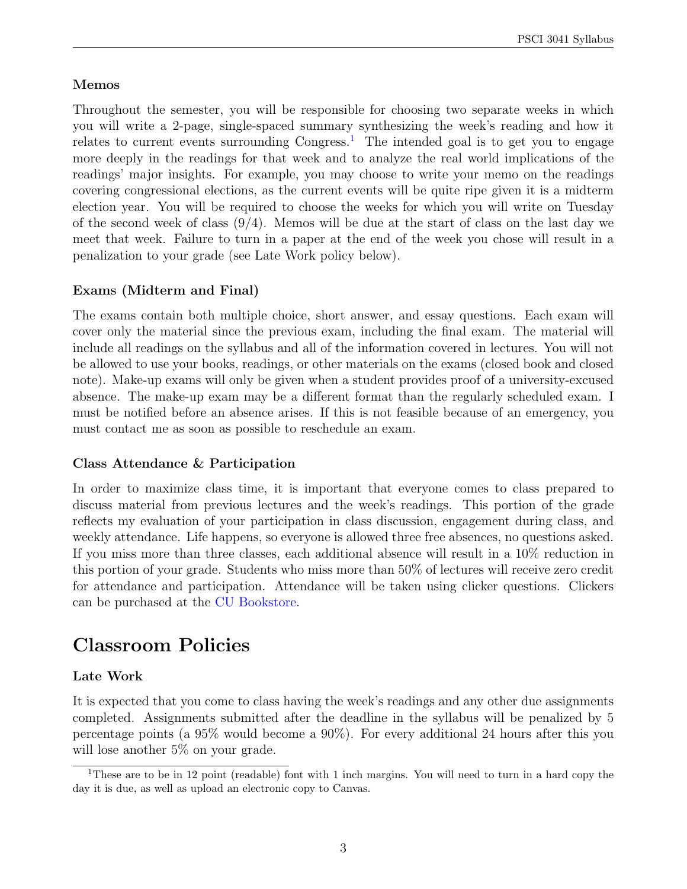### Memos

Throughout the semester, you will be responsible for choosing two separate weeks in which you will write a 2-page, single-spaced summary synthesizing the week's reading and how it relates to current events surrounding Congress.<sup>[1](#page-2-0)</sup> The intended goal is to get you to engage more deeply in the readings for that week and to analyze the real world implications of the readings' major insights. For example, you may choose to write your memo on the readings covering congressional elections, as the current events will be quite ripe given it is a midterm election year. You will be required to choose the weeks for which you will write on Tuesday of the second week of class  $(9/4)$ . Memos will be due at the start of class on the last day we meet that week. Failure to turn in a paper at the end of the week you chose will result in a penalization to your grade (see Late Work policy below).

## Exams (Midterm and Final)

The exams contain both multiple choice, short answer, and essay questions. Each exam will cover only the material since the previous exam, including the final exam. The material will include all readings on the syllabus and all of the information covered in lectures. You will not be allowed to use your books, readings, or other materials on the exams (closed book and closed note). Make-up exams will only be given when a student provides proof of a university-excused absence. The make-up exam may be a different format than the regularly scheduled exam. I must be notified before an absence arises. If this is not feasible because of an emergency, you must contact me as soon as possible to reschedule an exam.

#### Class Attendance & Participation

In order to maximize class time, it is important that everyone comes to class prepared to discuss material from previous lectures and the week's readings. This portion of the grade reflects my evaluation of your participation in class discussion, engagement during class, and weekly attendance. Life happens, so everyone is allowed three free absences, no questions asked. If you miss more than three classes, each additional absence will result in a 10% reduction in this portion of your grade. Students who miss more than 50% of lectures will receive zero credit for attendance and participation. Attendance will be taken using clicker questions. Clickers can be purchased at the [CU Bookstore.](https://www.cubookstore.com/)

## Classroom Policies

### Late Work

It is expected that you come to class having the week's readings and any other due assignments completed. Assignments submitted after the deadline in the syllabus will be penalized by 5 percentage points (a 95% would become a 90%). For every additional 24 hours after this you will lose another 5% on your grade.

<span id="page-2-0"></span><sup>&</sup>lt;sup>1</sup>These are to be in 12 point (readable) font with 1 inch margins. You will need to turn in a hard copy the day it is due, as well as upload an electronic copy to Canvas.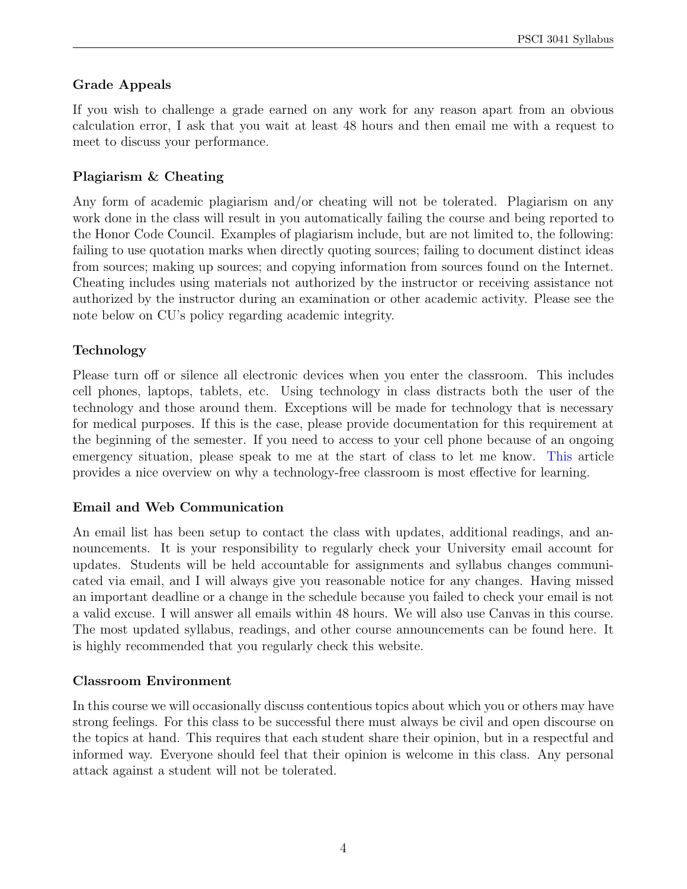## Grade Appeals

If you wish to challenge a grade earned on any work for any reason apart from an obvious calculation error, I ask that you wait at least 48 hours and then email me with a request to meet to discuss your performance.

## Plagiarism & Cheating

Any form of academic plagiarism and/or cheating will not be tolerated. Plagiarism on any work done in the class will result in you automatically failing the course and being reported to the Honor Code Council. Examples of plagiarism include, but are not limited to, the following: failing to use quotation marks when directly quoting sources; failing to document distinct ideas from sources; making up sources; and copying information from sources found on the Internet. Cheating includes using materials not authorized by the instructor or receiving assistance not authorized by the instructor during an examination or other academic activity. Please see the note below on CU's policy regarding academic integrity.

## Technology

Please turn off or silence all electronic devices when you enter the classroom. This includes cell phones, laptops, tablets, etc. Using technology in class distracts both the user of the technology and those around them. Exceptions will be made for technology that is necessary for medical purposes. If this is the case, please provide documentation for this requirement at the beginning of the semester. If you need to access to your cell phone because of an ongoing emergency situation, please speak to me at the start of class to let me know. [This](https://www.npr.org/2016/04/17/474525392/attention-students-put-your-laptops-away) article provides a nice overview on why a technology-free classroom is most effective for learning.

## Email and Web Communication

An email list has been setup to contact the class with updates, additional readings, and announcements. It is your responsibility to regularly check your University email account for updates. Students will be held accountable for assignments and syllabus changes communicated via email, and I will always give you reasonable notice for any changes. Having missed an important deadline or a change in the schedule because you failed to check your email is not a valid excuse. I will answer all emails within 48 hours. We will also use Canvas in this course. The most updated syllabus, readings, and other course announcements can be found here. It is highly recommended that you regularly check this website.

## Classroom Environment

In this course we will occasionally discuss contentious topics about which you or others may have strong feelings. For this class to be successful there must always be civil and open discourse on the topics at hand. This requires that each student share their opinion, but in a respectful and informed way. Everyone should feel that their opinion is welcome in this class. Any personal attack against a student will not be tolerated.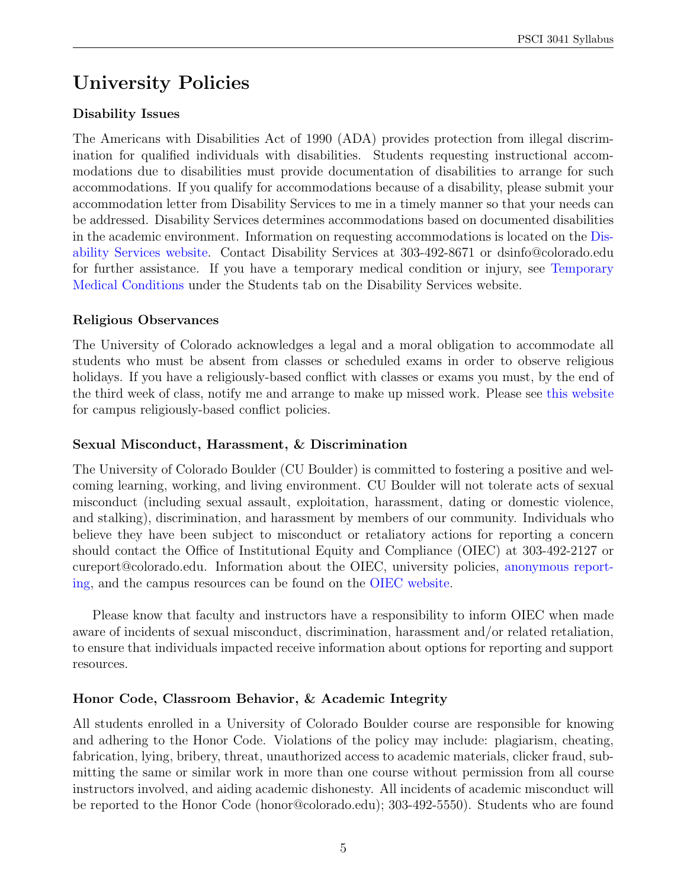# University Policies

## Disability Issues

The Americans with Disabilities Act of 1990 (ADA) provides protection from illegal discrimination for qualified individuals with disabilities. Students requesting instructional accommodations due to disabilities must provide documentation of disabilities to arrange for such accommodations. If you qualify for accommodations because of a disability, please submit your accommodation letter from Disability Services to me in a timely manner so that your needs can be addressed. Disability Services determines accommodations based on documented disabilities in the academic environment. Information on requesting accommodations is located on the [Dis](https://www.colorado.edu/disabilityservices/students)[ability Services website.](https://www.colorado.edu/disabilityservices/students) Contact Disability Services at 303-492-8671 or dsinfo@colorado.edu for further assistance. If you have a temporary medical condition or injury, see [Temporary](https://www.colorado.edu/disabilityservices/students/temporary-medical-conditions) [Medical Conditions](https://www.colorado.edu/disabilityservices/students/temporary-medical-conditions) under the Students tab on the Disability Services website.

## Religious Observances

The University of Colorado acknowledges a legal and a moral obligation to accommodate all students who must be absent from classes or scheduled exams in order to observe religious holidays. If you have a religiously-based conflict with classes or exams you must, by the end of the third week of class, notify me and arrange to make up missed work. Please see [this website](http://www.colorado.edu/policies/fac_relig.html) for campus religiously-based conflict policies.

## Sexual Misconduct, Harassment, & Discrimination

The University of Colorado Boulder (CU Boulder) is committed to fostering a positive and welcoming learning, working, and living environment. CU Boulder will not tolerate acts of sexual misconduct (including sexual assault, exploitation, harassment, dating or domestic violence, and stalking), discrimination, and harassment by members of our community. Individuals who believe they have been subject to misconduct or retaliatory actions for reporting a concern should contact the Office of Institutional Equity and Compliance (OIEC) at 303-492-2127 or cureport@colorado.edu. Information about the OIEC, university policies, [anonymous report](https://cuboulder.qualtrics.com/jfe/form/SV_0PnqVK4kkIJIZnf)[ing,](https://cuboulder.qualtrics.com/jfe/form/SV_0PnqVK4kkIJIZnf) and the campus resources can be found on the [OIEC website.](https://www.colorado.edu/institutionalequity/)

Please know that faculty and instructors have a responsibility to inform OIEC when made aware of incidents of sexual misconduct, discrimination, harassment and/or related retaliation, to ensure that individuals impacted receive information about options for reporting and support resources.

## Honor Code, Classroom Behavior, & Academic Integrity

All students enrolled in a University of Colorado Boulder course are responsible for knowing and adhering to the Honor Code. Violations of the policy may include: plagiarism, cheating, fabrication, lying, bribery, threat, unauthorized access to academic materials, clicker fraud, submitting the same or similar work in more than one course without permission from all course instructors involved, and aiding academic dishonesty. All incidents of academic misconduct will be reported to the Honor Code (honor@colorado.edu); 303-492-5550). Students who are found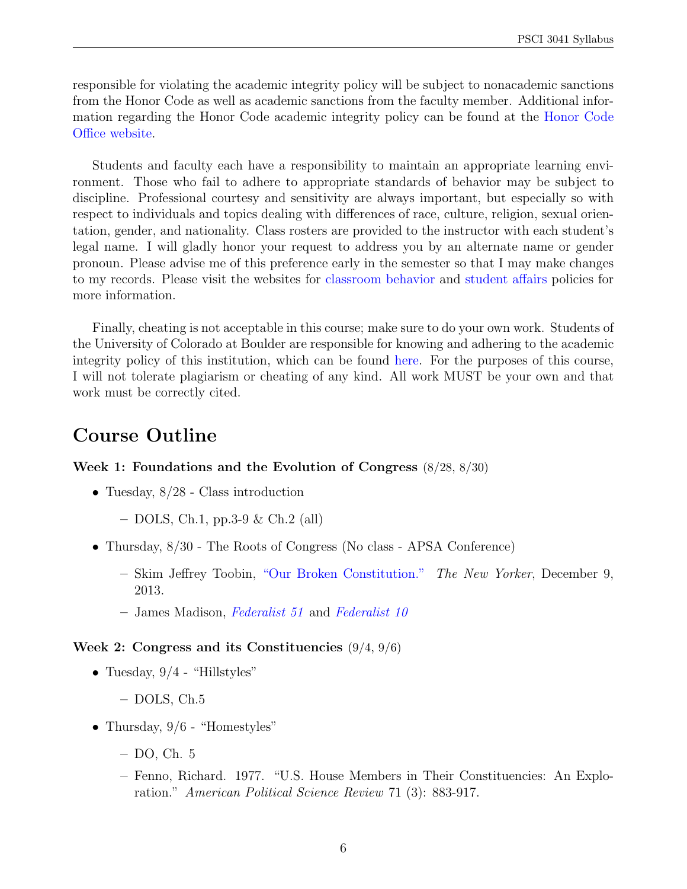responsible for violating the academic integrity policy will be subject to nonacademic sanctions from the Honor Code as well as academic sanctions from the faculty member. Additional information regarding the Honor Code academic integrity policy can be found at the [Honor Code](https://www.colorado.edu/osccr/honor-code) [Office website.](https://www.colorado.edu/osccr/honor-code)

Students and faculty each have a responsibility to maintain an appropriate learning environment. Those who fail to adhere to appropriate standards of behavior may be subject to discipline. Professional courtesy and sensitivity are always important, but especially so with respect to individuals and topics dealing with differences of race, culture, religion, sexual orientation, gender, and nationality. Class rosters are provided to the instructor with each student's legal name. I will gladly honor your request to address you by an alternate name or gender pronoun. Please advise me of this preference early in the semester so that I may make changes to my records. Please visit the websites for [classroom behavior](http://www.colorado.edu/policies/classbehavior.html) and [student affairs](http://www.colorado.edu/studentaffairs/judicialaffairs/code.html#student_code) policies for more information.

Finally, cheating is not acceptable in this course; make sure to do your own work. Students of the University of Colorado at Boulder are responsible for knowing and adhering to the academic integrity policy of this institution, which can be found [here.](http://www.colorado.edu/policies/acadinteg.html) For the purposes of this course, I will not tolerate plagiarism or cheating of any kind. All work MUST be your own and that work must be correctly cited.

## Course Outline

#### Week 1: Foundations and the Evolution of Congress (8/28, 8/30)

- Tuesday, 8/28 Class introduction
	- $-$  DOLS, Ch.1, pp.3-9 & Ch.2 (all)
- Thursday,  $8/30$  The Roots of Congress (No class APSA Conference)
	- Skim Jeffrey Toobin, ["Our Broken Constitution."](http://www.law.uh.edu/faculty/eberman/conlaw/Toobin.pdf) The New Yorker, December 9, 2013.
	- James Madison, [Federalist 51](http://avalon.law.yale.edu/18th_century/fed51.asp) and [Federalist 10](http://avalon.law.yale.edu/18th_century/fed10.asp)

#### Week 2: Congress and its Constituencies  $(9/4, 9/6)$

- Tuesday,  $9/4$  "Hillstyles"
	- DOLS, Ch.5
- Thursday,  $9/6$  "Homestyles"
	- DO, Ch. 5
	- Fenno, Richard. 1977. "U.S. House Members in Their Constituencies: An Exploration." American Political Science Review 71 (3): 883-917.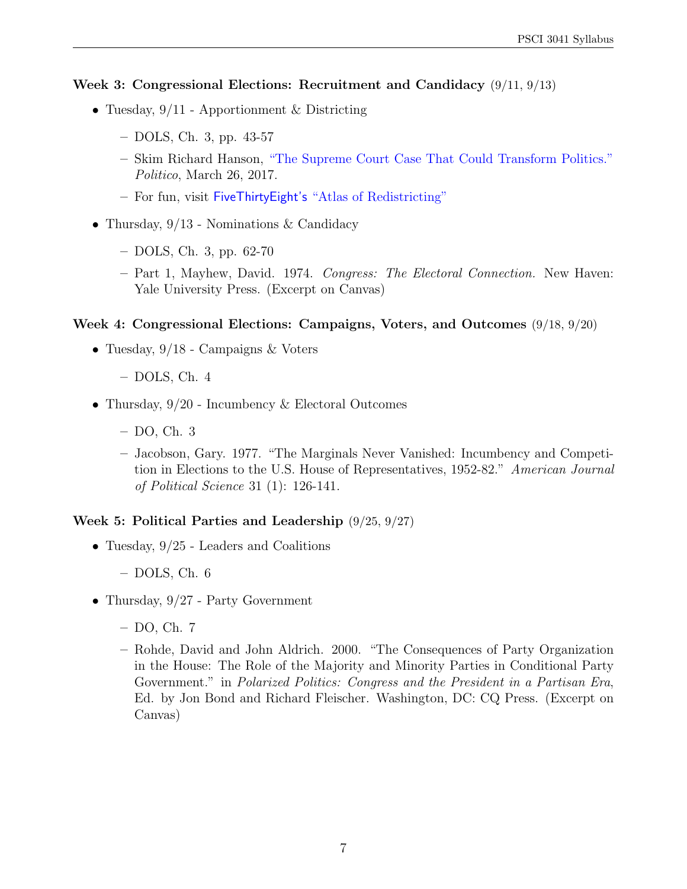#### Week 3: Congressional Elections: Recruitment and Candidacy (9/11, 9/13)

- Tuesday,  $9/11$  Apportionment & Districting
	- DOLS, Ch. 3, pp. 43-57
	- Skim Richard Hanson, ["The Supreme Court Case That Could Transform Politics."](https://www.politico.com/magazine/story/2018/03/26/supreme-court-gerrymandering-217710) Politico, March 26, 2017.
	- For fun, visit FiveThirtyEight's ["Atlas of Redistricting"](https://projects.fivethirtyeight.com/redistricting-maps/)
- Thursday,  $9/13$  Nominations & Candidacy
	- DOLS, Ch. 3, pp. 62-70
	- Part 1, Mayhew, David. 1974. Congress: The Electoral Connection. New Haven: Yale University Press. (Excerpt on Canvas)

#### Week 4: Congressional Elections: Campaigns, Voters, and Outcomes (9/18, 9/20)

- Tuesday,  $9/18$  Campaigns & Voters
	- DOLS, Ch. 4
- Thursday,  $9/20$  Incumbency & Electoral Outcomes
	- DO, Ch. 3
	- Jacobson, Gary. 1977. "The Marginals Never Vanished: Incumbency and Competition in Elections to the U.S. House of Representatives, 1952-82." American Journal of Political Science 31 (1): 126-141.

#### Week 5: Political Parties and Leadership (9/25, 9/27)

- Tuesday,  $9/25$  Leaders and Coalitions
	- DOLS, Ch. 6
- Thursday,  $9/27$  Party Government
	- DO, Ch. 7
	- Rohde, David and John Aldrich. 2000. "The Consequences of Party Organization in the House: The Role of the Majority and Minority Parties in Conditional Party Government." in Polarized Politics: Congress and the President in a Partisan Era, Ed. by Jon Bond and Richard Fleischer. Washington, DC: CQ Press. (Excerpt on Canvas)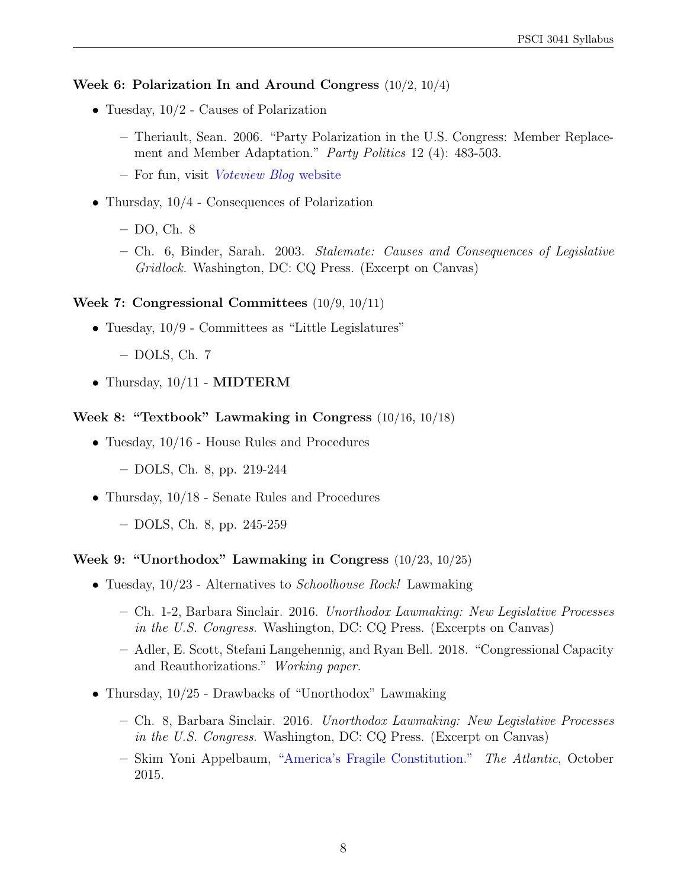#### Week 6: Polarization In and Around Congress (10/2, 10/4)

- Tuesday,  $10/2$  Causes of Polarization
	- Theriault, Sean. 2006. "Party Polarization in the U.S. Congress: Member Replacement and Member Adaptation." Party Politics 12 (4): 483-503.
	- For fun, visit [Voteview Blog](https://voteviewblog.com/) website
- Thursday,  $10/4$  Consequences of Polarization
	- DO, Ch. 8
	- Ch. 6, Binder, Sarah. 2003. Stalemate: Causes and Consequences of Legislative Gridlock. Washington, DC: CQ Press. (Excerpt on Canvas)

#### Week 7: Congressional Committees (10/9, 10/11)

- Tuesday,  $10/9$  Committees as "Little Legislatures"
	- DOLS, Ch. 7
- Thursday,  $10/11$  MIDTERM

#### Week 8: "Textbook" Lawmaking in Congress (10/16, 10/18)

- Tuesday,  $10/16$  House Rules and Procedures
	- DOLS, Ch. 8, pp. 219-244
- Thursday,  $10/18$  Senate Rules and Procedures
	- DOLS, Ch. 8, pp. 245-259

#### Week 9: "Unorthodox" Lawmaking in Congress (10/23, 10/25)

- Tuesday,  $10/23$  Alternatives to *Schoolhouse Rock!* Lawmaking
	- Ch. 1-2, Barbara Sinclair. 2016. Unorthodox Lawmaking: New Legislative Processes in the U.S. Congress. Washington, DC: CQ Press. (Excerpts on Canvas)
	- Adler, E. Scott, Stefani Langehennig, and Ryan Bell. 2018. "Congressional Capacity and Reauthorizations." Working paper.
- Thursday,  $10/25$  Drawbacks of "Unorthodox" Lawmaking
	- Ch. 8, Barbara Sinclair. 2016. Unorthodox Lawmaking: New Legislative Processes in the U.S. Congress. Washington, DC: CQ Press. (Excerpt on Canvas)
	- Skim Yoni Appelbaum, ["America's Fragile Constitution."](https://www.theatlantic.com/magazine/archive/2015/10/our-fragile-constitution/403237/) The Atlantic, October 2015.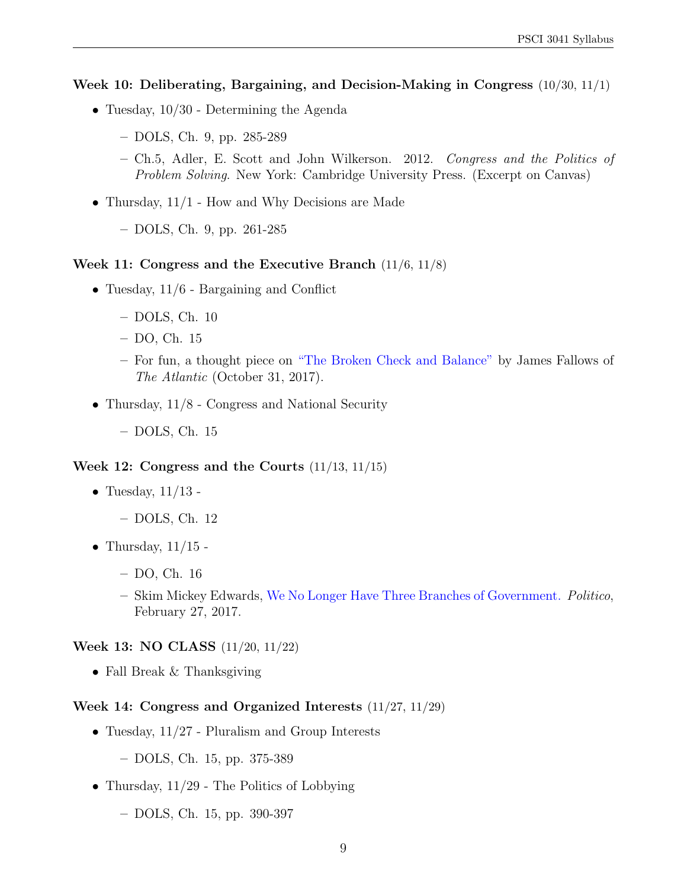#### Week 10: Deliberating, Bargaining, and Decision-Making in Congress (10/30, 11/1)

- Tuesday, 10/30 Determining the Agenda
	- DOLS, Ch. 9, pp. 285-289
	- Ch.5, Adler, E. Scott and John Wilkerson. 2012. Congress and the Politics of Problem Solving. New York: Cambridge University Press. (Excerpt on Canvas)
- Thursday, 11/1 How and Why Decisions are Made
	- DOLS, Ch. 9, pp. 261-285

#### Week 11: Congress and the Executive Branch (11/6, 11/8)

- Tuesday,  $11/6$  Bargaining and Conflict
	- DOLS, Ch. 10
	- DO, Ch. 15
	- For fun, a thought piece on ["The Broken Check and Balance"](https://www.theatlantic.com/politics/archive/2017/10/republicans-in-congress-youve-got-another-chance/544466/) by James Fallows of The Atlantic (October 31, 2017).
- Thursday, 11/8 Congress and National Security
	- DOLS, Ch. 15

#### Week 12: Congress and the Courts (11/13, 11/15)

- Tuesday,  $11/13$  -
	- DOLS, Ch. 12
- Thursday,  $11/15$  -
	- DO, Ch. 16
	- Skim Mickey Edwards, [We No Longer Have Three Branches of Government.](https://www.politico.com/magazine/story/2017/02/three-branches-government-separation-powers-executive-legislative-judicial-214812) Politico, February 27, 2017.

#### Week 13: NO CLASS (11/20, 11/22)

• Fall Break & Thanksgiving

#### Week 14: Congress and Organized Interests (11/27, 11/29)

- Tuesday,  $11/27$  Pluralism and Group Interests
	- DOLS, Ch. 15, pp. 375-389
- Thursday,  $11/29$  The Politics of Lobbying
	- DOLS, Ch. 15, pp. 390-397